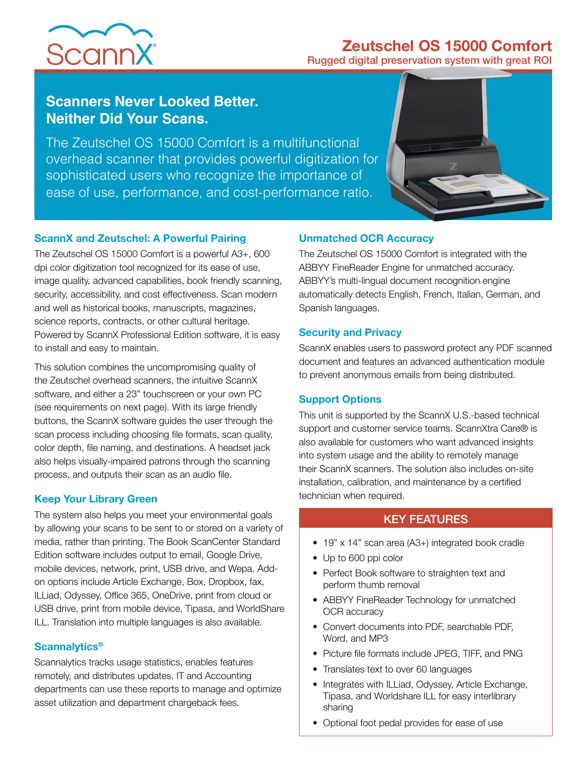# **ScannX**



Rugged digital preservation system with great ROI

## **Scanners Never Looked Better. Neither Did Your Scans.**

The Zeutschel OS 15000 Comfort is a multifunctional overhead scanner that provides powerful digitization for sophisticated users who recognize the importance of ease of use, performance, and cost-performance ratio.



#### **ScannX and Zeutschel: A Powerful Pairing**

The Zeutschel OS 15000 Comfort is a powerful A3+, 600 dpi color digitization tool recognized for its ease of use, image quality, advanced capabilities, book friendly scanning, security, accessibility, and cost effectiveness. Scan modern and well as historical books, manuscripts, magazines, science reports, contracts, or other cultural heritage. Powered by ScannX Professional Edition software, it is easy to install and easy to maintain.

This solution combines the uncompromising quality of the Zeutschel overhead scanners, the intuitive ScannX software, and either a 23" touchscreen or your own PC (see requirements on next page). With its large friendly buttons, the ScannX software guides the user through the scan process including choosing file formats, scan quality, color depth, file naming, and destinations. A headset jack also helps visually-impaired patrons through the scanning process, and outputs their scan as an audio file.

#### **Keep Your Library Green**

The system also helps you meet your environmental goals by allowing your scans to be sent to or stored on a variety of media, rather than printing. The Book ScanCenter Standard Edition software includes output to email, Google Drive, mobile devices, network, print, USB drive, and Wepa. Addon options include Article Exchange, Box, Dropbox, fax, ILLiad, Odyssey, Office 365, OneDrive, print from cloud or USB drive, print from mobile device, Tipasa, and WorldShare ILL. Translation into multiple languages is also available.

#### **Scannalytics®**

Scannalytics tracks usage statistics, enables features remotely, and distributes updates. IT and Accounting departments can use these reports to manage and optimize asset utilization and department chargeback fees.

#### **Unmatched OCR Accuracy**

The Zeutschel OS 15000 Comfort is integrated with the ABBYY FineReader Engine for unmatched accuracy. ABBYY's multi-lingual document recognition engine automatically detects English, French, Italian, German, and Spanish languages.

#### **Security and Privacy**

ScannX enables users to password protect any PDF scanned document and features an advanced authentication module to prevent anonymous emails from being distributed.

#### **Support Options**

This unit is supported by the ScannX U.S.-based technical support and customer service teams. ScannXtra Care® is also available for customers who want advanced insights into system usage and the ability to remotely manage their ScannX scanners. The solution also includes on-site installation, calibration, and maintenance by a certified technician when required.

### KEY FEATURES

- 19" x 14" scan area (A3+) integrated book cradle
- Up to 600 ppi color
- Perfect Book software to straighten text and perform thumb removal
- ABBYY FineReader Technology for unmatched OCR accuracy
- Convert documents into PDF, searchable PDF, Word, and MP3
- Picture file formats include JPEG, TIFF, and PNG
- Translates text to over 60 languages
- Integrates with ILLiad, Odyssey, Article Exchange, Tipasa, and Worldshare ILL for easy interlibrary sharing
- Optional foot pedal provides for ease of use